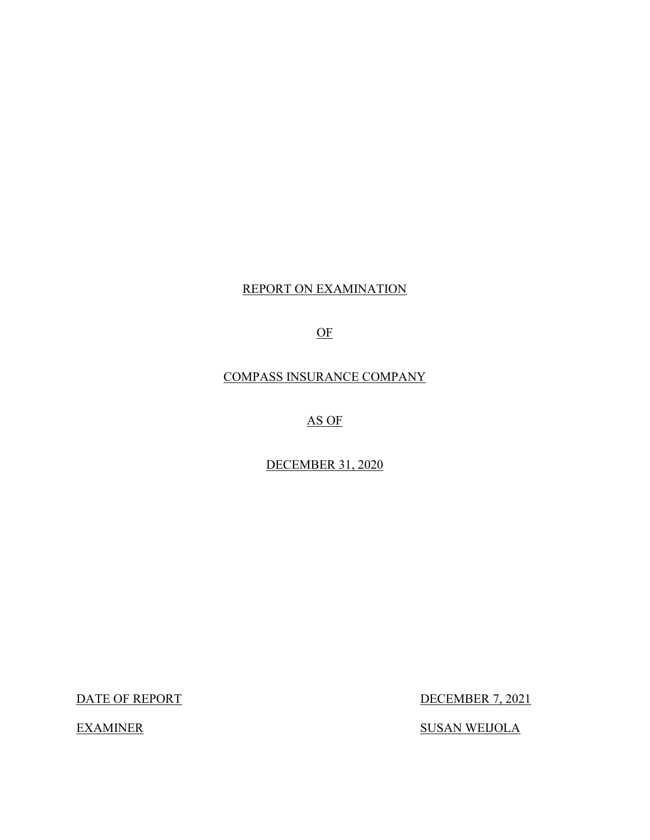## REPORT ON EXAMINATION

OF

COMPASS INSURANCE COMPANY

AS OF

DECEMBER 31, 2020

DATE OF REPORT

**EXAMINER** 

DECEMBER 7, 2021

**SUSAN WEIJOLA**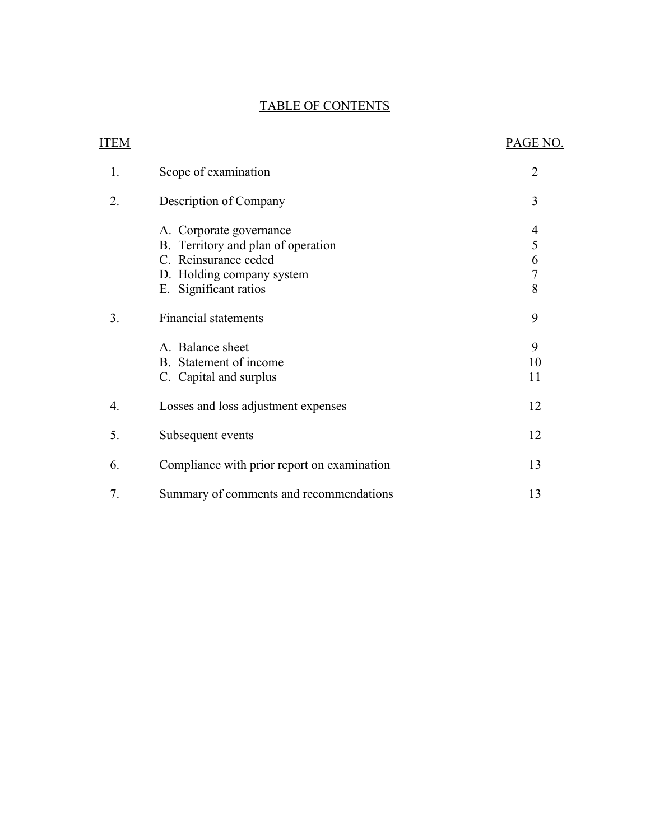## TABLE OF CONTENTS

| <b>ITEM</b> |                                                                                                                                                                                                                          | PAGE NO.                                           |
|-------------|--------------------------------------------------------------------------------------------------------------------------------------------------------------------------------------------------------------------------|----------------------------------------------------|
| 1.          | Scope of examination                                                                                                                                                                                                     | $\overline{2}$                                     |
| 2.          | Description of Company                                                                                                                                                                                                   | 3                                                  |
| 3.          | A. Corporate governance<br>B. Territory and plan of operation<br>C. Reinsurance ceded<br>D. Holding company system<br>E. Significant ratios<br><b>Financial statements</b><br>A. Balance sheet<br>B. Statement of income | 4<br>5<br>6<br>$\overline{7}$<br>8<br>9<br>9<br>10 |
|             | C. Capital and surplus                                                                                                                                                                                                   | 11                                                 |
| 4.          | Losses and loss adjustment expenses                                                                                                                                                                                      | 12                                                 |
| 5.          | Subsequent events                                                                                                                                                                                                        | 12                                                 |
| 6.          | Compliance with prior report on examination                                                                                                                                                                              | 13                                                 |
| 7.          | Summary of comments and recommendations                                                                                                                                                                                  | 13                                                 |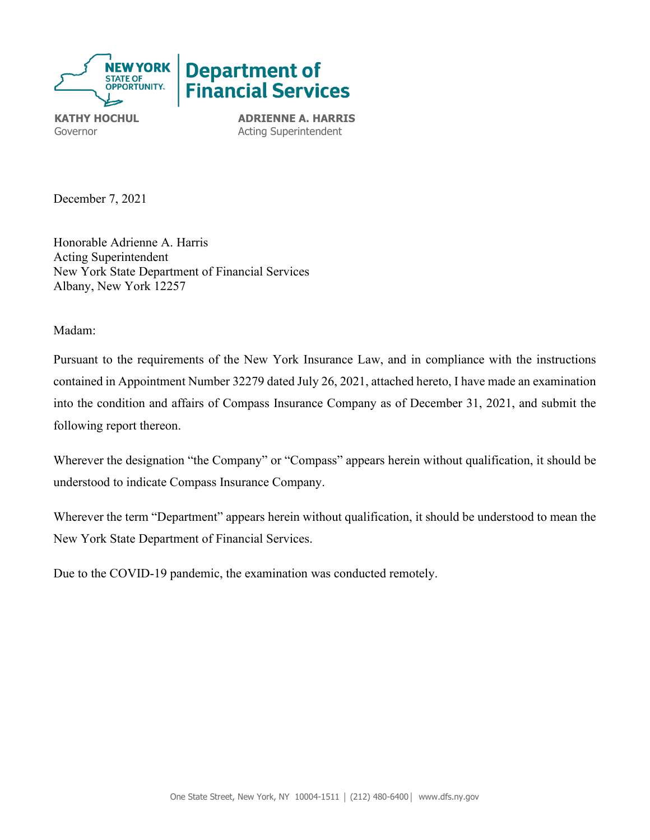

**KATHY HOCHUL ADRIENNE A. HARRIS** Governor **Acting Superintendent** 

December 7, 2021

Honorable Adrienne A. Harris Acting Superintendent New York State Department of Financial Services Albany, New York 12257

Madam:

 contained in Appointment Number 32279 dated July 26, 2021, attached hereto, I have made an examination Pursuant to the requirements of the New York Insurance Law, and in compliance with the instructions into the condition and affairs of Compass Insurance Company as of December 31, 2021, and submit the following report thereon.

Wherever the designation "the Company" or "Compass" appears herein without qualification, it should be understood to indicate Compass Insurance Company.

Wherever the term "Department" appears herein without qualification, it should be understood to mean the New York State Department of Financial Services.

Due to the COVID-19 pandemic, the examination was conducted remotely.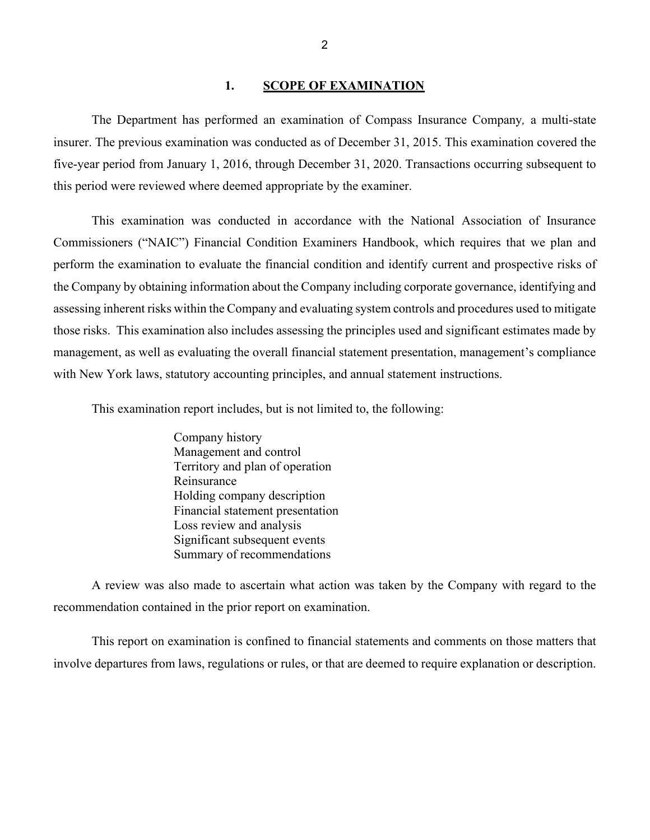#### <span id="page-3-0"></span>1. **SCOPE OF EXAMINATION**

The Department has performed an examination of Compass Insurance Company*,* a multi-state insurer. The previous examination was conducted as of December 31, 2015. This examination covered the five-year period from January 1, 2016, through December 31, 2020. Transactions occurring subsequent to this period were reviewed where deemed appropriate by the examiner.

 those risks. This examination also includes assessing the principles used and significant estimates made by management, as well as evaluating the overall financial statement presentation, management's compliance with New York laws, statutory accounting principles, and annual statement instructions. This examination was conducted in accordance with the National Association of Insurance Commissioners ("NAIC") Financial Condition Examiners Handbook, which requires that we plan and perform the examination to evaluate the financial condition and identify current and prospective risks of the Company by obtaining information about the Company including corporate governance, identifying and assessing inherent risks within the Company and evaluating system controls and procedures used to mitigate

This examination report includes, but is not limited to, the following:

Company history Management and control Territory and plan of operation Reinsurance Holding company description Financial statement presentation Loss review and analysis Significant subsequent events Summary of recommendations

A review was also made to ascertain what action was taken by the Company with regard to the recommendation contained in the prior report on examination.

 This report on examination is confined to financial statements and comments on those matters that involve departures from laws, regulations or rules, or that are deemed to require explanation or description.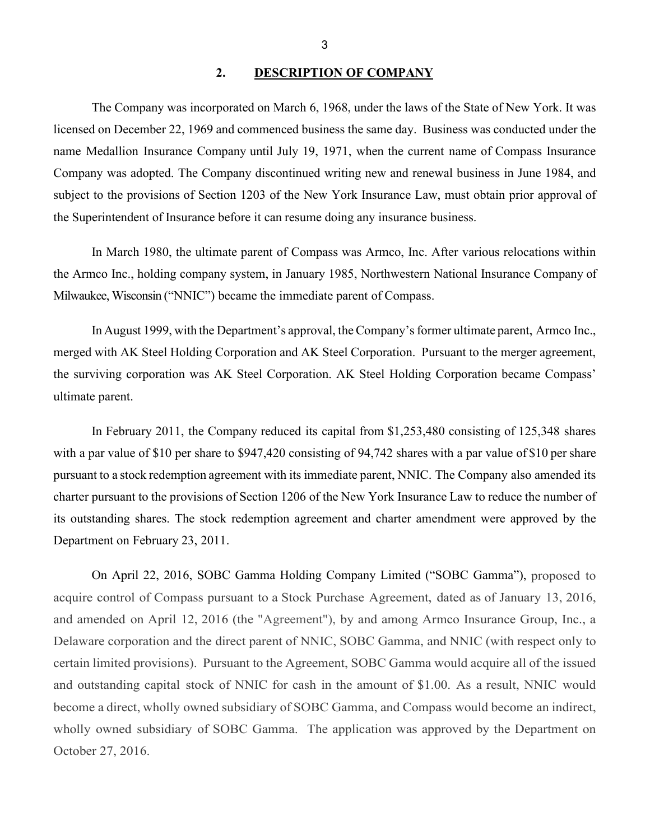### <span id="page-4-0"></span>**2. DESCRIPTION OF COMPANY**

 licensed on December 22, 1969 and commenced business the same day. Business was conducted under the name Medallion Insurance Company until July 19, 1971, when the current name of Compass Insurance subject to the provisions of Section 1203 of the New York Insurance Law, must obtain prior approval of the Superintendent of Insurance before it can resume doing any insurance business. The Company was incorporated on March 6, 1968, under the laws of the State of New York. It was Company was adopted. The Company discontinued writing new and renewal business in June 1984, and

 In March 1980, the ultimate parent of Compass was Armco, Inc. After various relocations within the Armco Inc., holding company system, in January 1985, Northwestern National Insurance Company of Milwaukee, Wisconsin ("NNIC") became the immediate parent of Compass.

 In August 1999, with the Department's approval, the Company's former ultimate parent, Armco Inc., merged with AK Steel Holding Corporation and AK Steel Corporation. Pursuant to the merger agreement, the surviving corporation was AK Steel Corporation. AK Steel Holding Corporation became Compass' ultimate parent.

 In February 2011, the Company reduced its capital from \$1,253,480 consisting of 125,348 shares with a par value of \$10 per share to \$947,420 consisting of 94,742 shares with a par value of \$10 per share pursuant to a stock redemption agreement with its immediate parent, NNIC. The Company also amended its Department on February 23, 2011. charter pursuant to the provisions of Section 1206 of the New York Insurance Law to reduce the number of its outstanding shares. The stock redemption agreement and charter amendment were approved by the

 On April 22, 2016, SOBC Gamma Holding Company Limited ("SOBC Gamma"), proposed to acquire control of Compass pursuant to a Stock Purchase Agreement, dated as of January 13, 2016, and amended on April 12, 2016 (the "Agreement"), by and among Armco Insurance Group, Inc., a Delaware corporation and the direct parent of NNIC, SOBC Gamma, and NNIC (with respect only to and outstanding capital stock of NNIC for cash in the amount of \$1.00. As a result, NNIC would become a direct, wholly owned subsidiary of SOBC Gamma, and Compass would become an indirect, wholly owned subsidiary of SOBC Gamma. The application was approved by the Department on October 27, 2016. certain limited provisions). Pursuant to the Agreement, SOBC Gamma would acquire all of the issued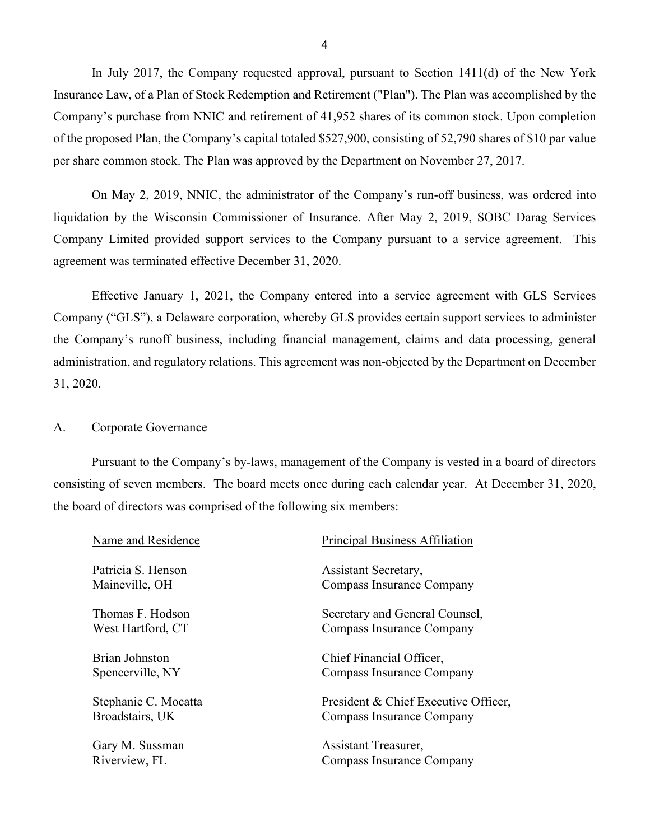In July 2017, the Company requested approval, pursuant to Section 1411(d) of the New York Insurance Law, of a Plan of Stock Redemption and Retirement ("Plan"). The Plan was accomplished by the of the proposed Plan, the Company's capital totaled \$527,900, consisting of 52,790 shares of \$10 par value Company's purchase from NNIC and retirement of 41,952 shares of its common stock. Upon completion per share common stock. The Plan was approved by the Department on November 27, 2017.

 liquidation by the Wisconsin Commissioner of Insurance. After May 2, 2019, SOBC Darag Services On May 2, 2019, NNIC, the administrator of the Company's run-off business, was ordered into Company Limited provided support services to the Company pursuant to a service agreement. This agreement was terminated effective December 31, 2020.

31, 2020. Effective January 1, 2021, the Company entered into a service agreement with GLS Services Company ("GLS"), a Delaware corporation, whereby GLS provides certain support services to administer the Company's runoff business, including financial management, claims and data processing, general administration, and regulatory relations. This agreement was non-objected by the Department on December

#### <span id="page-5-0"></span>A. Corporate Governance

Pursuant to the Company's by-laws, management of the Company is vested in a board of directors consisting of seven members. The board meets once during each calendar year. At December 31, 2020, the board of directors was comprised of the following six members:

| Name and Residence   | <b>Principal Business Affiliation</b> |
|----------------------|---------------------------------------|
| Patricia S. Henson   | Assistant Secretary,                  |
| Maineville, OH       | Compass Insurance Company             |
| Thomas F. Hodson     | Secretary and General Counsel,        |
| West Hartford, CT    | Compass Insurance Company             |
| Brian Johnston       | Chief Financial Officer,              |
| Spencerville, NY     | Compass Insurance Company             |
| Stephanie C. Mocatta | President & Chief Executive Officer,  |
| Broadstairs, UK      | Compass Insurance Company             |
| Gary M. Sussman      | Assistant Treasurer,                  |
| Riverview, FL        | Compass Insurance Company             |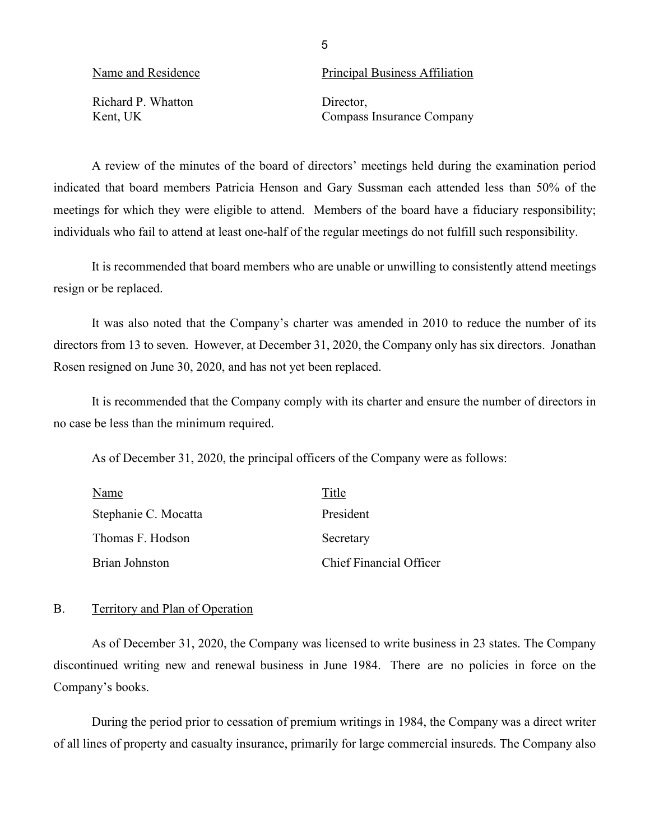5

Richard P. Whatton Director,

Name and Residence Principal Business Affiliation

Kent, UK Compass Insurance Company

 indicated that board members Patricia Henson and Gary Sussman each attended less than 50% of the A review of the minutes of the board of directors' meetings held during the examination period meetings for which they were eligible to attend. Members of the board have a fiduciary responsibility; individuals who fail to attend at least one-half of the regular meetings do not fulfill such responsibility.

<span id="page-6-1"></span>resign or be replaced. It is recommended that board members who are unable or unwilling to consistently attend meetings

 Rosen resigned on June 30, 2020, and has not yet been replaced. It was also noted that the Company's charter was amended in 2010 to reduce the number of its directors from 13 to seven. However, at December 31, 2020, the Company only has six directors. Jonathan

It is recommended that the Company comply with its charter and ensure the number of directors in no case be less than the minimum required.

<span id="page-6-2"></span>As of December 31, 2020, the principal officers of the Company were as follows:

<span id="page-6-0"></span>

| Name                 | Title                          |
|----------------------|--------------------------------|
| Stephanie C. Mocatta | President                      |
| Thomas F. Hodson     | Secretary                      |
| Brian Johnston       | <b>Chief Financial Officer</b> |

### B. Territory and Plan of Operation

 discontinued writing new and renewal business in June 1984. There are no policies in force on the Company's books. As of December 31, 2020, the Company was licensed to write business in 23 states. The Company

 During the period prior to cessation of premium writings in 1984, the Company was a direct writer of all lines of property and casualty insurance, primarily for large commercial insureds. The Company also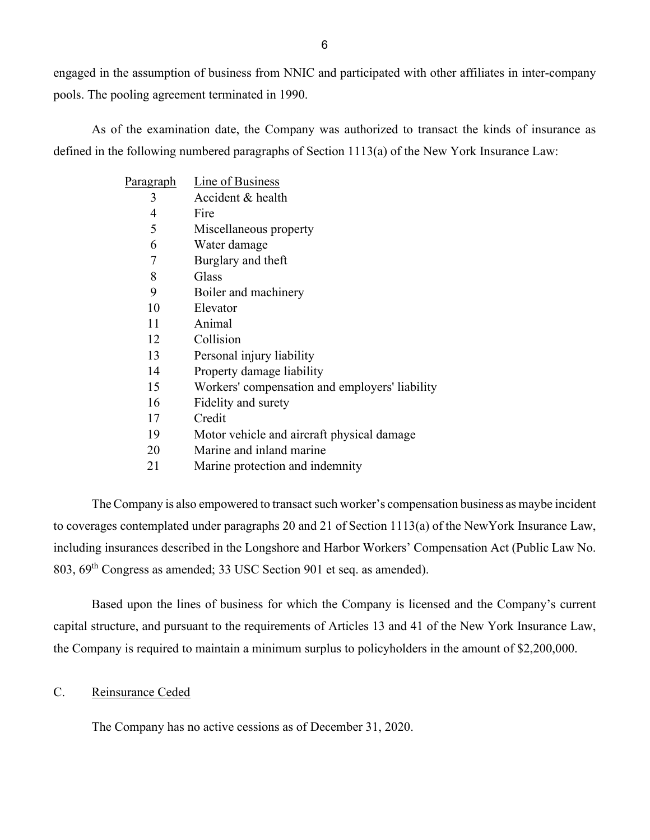pools. The pooling agreement terminated in 1990. engaged in the assumption of business from NNIC and participated with other affiliates in inter-company

As of the examination date, the Company was authorized to transact the kinds of insurance as defined in the following numbered paragraphs of Section 1113(a) of the New York Insurance Law:

| Pa <u>ragraph</u> | Line of Business                               |
|-------------------|------------------------------------------------|
| 3                 | Accident & health                              |
| 4                 | Fire                                           |
| 5                 | Miscellaneous property                         |
| 6                 | Water damage                                   |
| 7                 | Burglary and theft                             |
| 8                 | Glass                                          |
| 9                 | Boiler and machinery                           |
| 10                | Elevator                                       |
| 11                | Animal                                         |
| 12                | Collision                                      |
| 13                | Personal injury liability                      |
| 14                | Property damage liability                      |
| 15                | Workers' compensation and employers' liability |
| 16                | Fidelity and surety                            |
| 17                | Credit                                         |
| 19                | Motor vehicle and aircraft physical damage     |
| 20                | Marine and inland marine                       |
| 21                | Marine protection and indemnity                |

 The Company is also empowered to transact such worker's compensation business as maybe incident to coverages contemplated under paragraphs 20 and 21 of Section 1113(a) of the NewYork Insurance Law, 803, 69<sup>th</sup> Congress as amended; 33 USC Section 901 et seq. as amended). including insurances described in the Longshore and Harbor Workers' Compensation Act (Public Law No.

the Company is required to maintain a minimum surplus to policyholders in the amount of \$2,200,000.<br>C. Reinsurance Ceded Based upon the lines of business for which the Company is licensed and the Company's current capital structure, and pursuant to the requirements of Articles 13 and 41 of the New York Insurance Law,

<span id="page-7-0"></span>The Company has no active cessions as of December 31, 2020.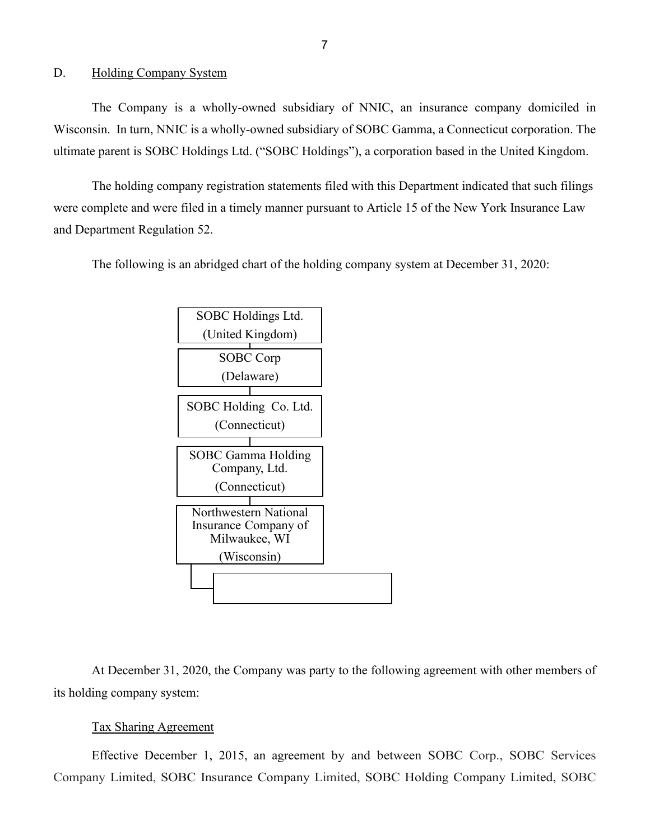#### <span id="page-8-0"></span>D. Holding Company System

The Company is a wholly-owned subsidiary of NNIC, an insurance company domiciled in Wisconsin. In turn, NNIC is a wholly-owned subsidiary of SOBC Gamma, a Connecticut corporation. The ultimate parent is SOBC Holdings Ltd. ("SOBC Holdings"), a corporation based in the United Kingdom.

The holding company registration statements filed with this Department indicated that such filings were complete and were filed in a timely manner pursuant to Article 15 of the New York Insurance Law and Department Regulation 52.

The following is an abridged chart of the holding company system at December 31, 2020:



its holding company system:<br>Tax Sharing Agreement At December 31, 2020, the Company was party to the following agreement with other members of

 Company Limited, SOBC Insurance Company Limited, SOBC Holding Company Limited, SOBC Effective December 1, 2015, an agreement by and between SOBC Corp., SOBC Services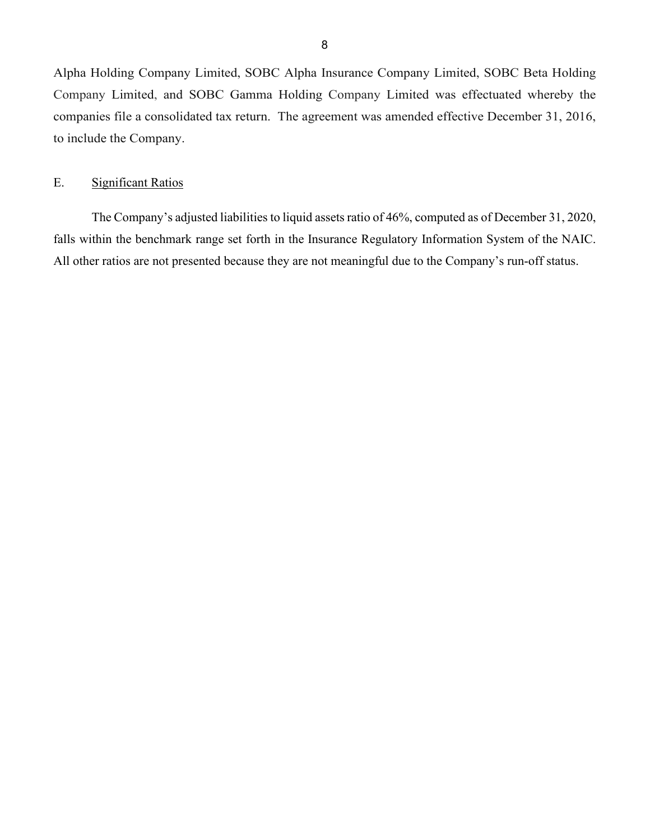Alpha Holding Company Limited, SOBC Alpha Insurance Company Limited, SOBC Beta Holding companies file a consolidated tax return. The agreement was amended effective December 31, 2016, Company Limited, and SOBC Gamma Holding Company Limited was effectuated whereby the to include the Company.

## <span id="page-9-0"></span>E. Significant Ratios

 The Company's adjusted liabilities to liquid assets ratio of 46%, computed as of December 31, 2020, falls within the benchmark range set forth in the Insurance Regulatory Information System of the NAIC. All other ratios are not presented because they are not meaningful due to the Company's run-off status.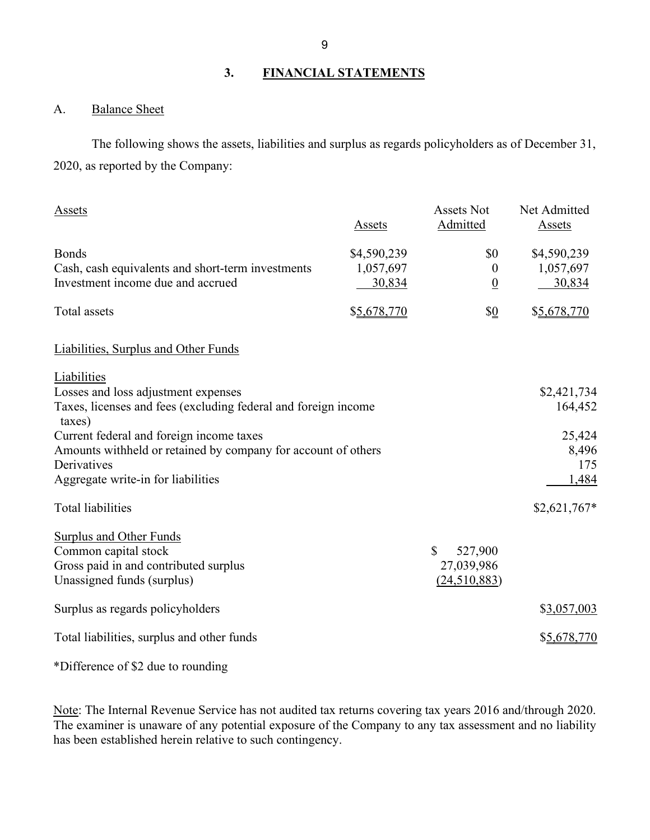## **3. FINANCIAL STATEMENTS**

## <span id="page-10-1"></span><span id="page-10-0"></span>A. Balance Sheet

 2020, as reported by the Company: The following shows the assets, liabilities and surplus as regards policyholders as of December 31,

| Assets                                                                   | Assets      | <b>Assets Not</b><br>Admitted | Net Admitted<br>Assets |
|--------------------------------------------------------------------------|-------------|-------------------------------|------------------------|
| <b>Bonds</b>                                                             | \$4,590,239 | \$0                           | \$4,590,239            |
| Cash, cash equivalents and short-term investments                        | 1,057,697   | $\boldsymbol{0}$              | 1,057,697              |
| Investment income due and accrued                                        | 30,834      | $\overline{0}$                | <u>30,834</u>          |
| Total assets                                                             | \$5,678,770 | $\frac{10}{2}$                | \$5,678,770            |
| Liabilities, Surplus and Other Funds                                     |             |                               |                        |
| Liabilities                                                              |             |                               |                        |
| Losses and loss adjustment expenses                                      |             |                               | \$2,421,734            |
| Taxes, licenses and fees (excluding federal and foreign income<br>taxes) |             |                               | 164,452                |
| Current federal and foreign income taxes                                 |             |                               | 25,424                 |
| Amounts withheld or retained by company for account of others            |             |                               | 8,496                  |
| Derivatives                                                              |             |                               | 175                    |
| Aggregate write-in for liabilities                                       |             |                               | 1,484                  |
| <b>Total liabilities</b>                                                 |             |                               | $$2,621,767*$          |
| Surplus and Other Funds                                                  |             |                               |                        |
| Common capital stock                                                     |             | $\mathbb{S}$<br>527,900       |                        |
| Gross paid in and contributed surplus                                    |             | 27,039,986                    |                        |
| Unassigned funds (surplus)                                               |             | (24,510,883)                  |                        |
| Surplus as regards policyholders                                         |             |                               | \$3,057,003            |
| Total liabilities, surplus and other funds                               |             |                               | \$5,678,770            |
|                                                                          |             |                               |                        |

\*Difference of \$2 due to rounding

Note: The Internal Revenue Service has not audited tax returns covering tax years 2016 and/through 2020. The examiner is unaware of any potential exposure of the Company to any tax assessment and no liability has been established herein relative to such contingency.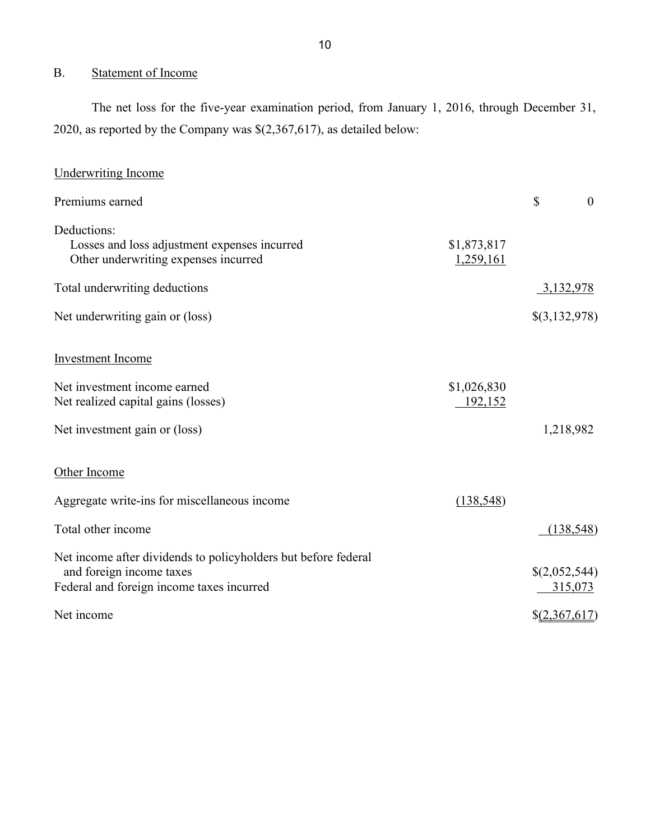## <span id="page-11-0"></span>B. Statement of Income

 The net loss for the five-year examination period, from January 1, 2016, through December 31, 2020, as reported by the Company was \$(2,367,617), as detailed below:

| <b>Underwriting Income</b>                                                                                                              |                          |                            |                |
|-----------------------------------------------------------------------------------------------------------------------------------------|--------------------------|----------------------------|----------------|
| Premiums earned                                                                                                                         |                          | \$                         | $\overline{0}$ |
| Deductions:<br>Losses and loss adjustment expenses incurred<br>Other underwriting expenses incurred                                     | \$1,873,817<br>1,259,161 |                            |                |
| Total underwriting deductions                                                                                                           |                          |                            | 3,132,978      |
| Net underwriting gain or (loss)                                                                                                         |                          | \$(3,132,978)              |                |
| Investment Income                                                                                                                       |                          |                            |                |
| Net investment income earned<br>Net realized capital gains (losses)                                                                     | \$1,026,830<br>192,152   |                            |                |
| Net investment gain or (loss)                                                                                                           |                          |                            | 1,218,982      |
| Other Income                                                                                                                            |                          |                            |                |
| Aggregate write-ins for miscellaneous income                                                                                            | (138, 548)               |                            |                |
| Total other income                                                                                                                      |                          |                            | (138, 548)     |
| Net income after dividends to policyholders but before federal<br>and foreign income taxes<br>Federal and foreign income taxes incurred |                          | \$(2,052,544)              | 315,073        |
| Net income                                                                                                                              |                          | $$(\underline{2,367,617})$ |                |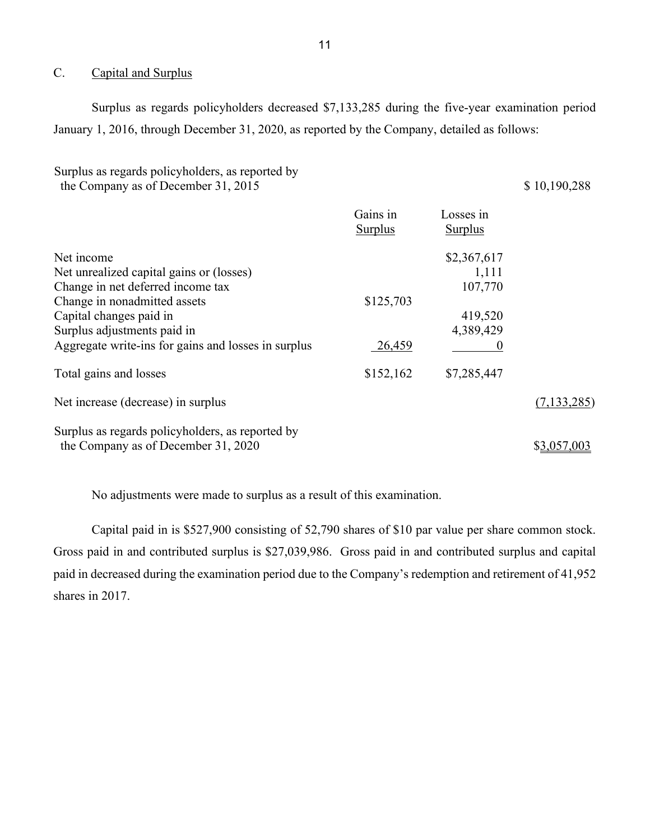### <span id="page-12-0"></span>C. Capital and Surplus

 January 1, 2016, through December 31, 2020, as reported by the Company, detailed as follows: Surplus as regards policyholders decreased \$7,133,285 during the five-year examination period

Surplus as regards policyholders, as reported by the Company as of December 31, 2015 \$ 10,190,288

|                                                     | Gains in<br><b>Surplus</b> | Losses in<br><b>Surplus</b> |               |
|-----------------------------------------------------|----------------------------|-----------------------------|---------------|
| Net income                                          |                            | \$2,367,617                 |               |
| Net unrealized capital gains or (losses)            |                            | 1,111                       |               |
| Change in net deferred income tax                   |                            | 107,770                     |               |
| Change in nonadmitted assets                        | \$125,703                  |                             |               |
| Capital changes paid in                             |                            | 419,520                     |               |
| Surplus adjustments paid in                         |                            | 4,389,429                   |               |
| Aggregate write-ins for gains and losses in surplus | 26,459                     |                             |               |
| Total gains and losses                              | \$152,162                  | \$7,285,447                 |               |
| Net increase (decrease) in surplus                  |                            |                             | (7, 133, 285) |
| Surplus as regards policyholders, as reported by    |                            |                             |               |
| the Company as of December 31, 2020                 |                            |                             | \$3,057,003   |

No adjustments were made to surplus as a result of this examination.

 Capital paid in is \$527,900 consisting of 52,790 shares of \$10 par value per share common stock. shares in 2017. Gross paid in and contributed surplus is \$27,039,986. Gross paid in and contributed surplus and capital paid in decreased during the examination period due to the Company's redemption and retirement of 41,952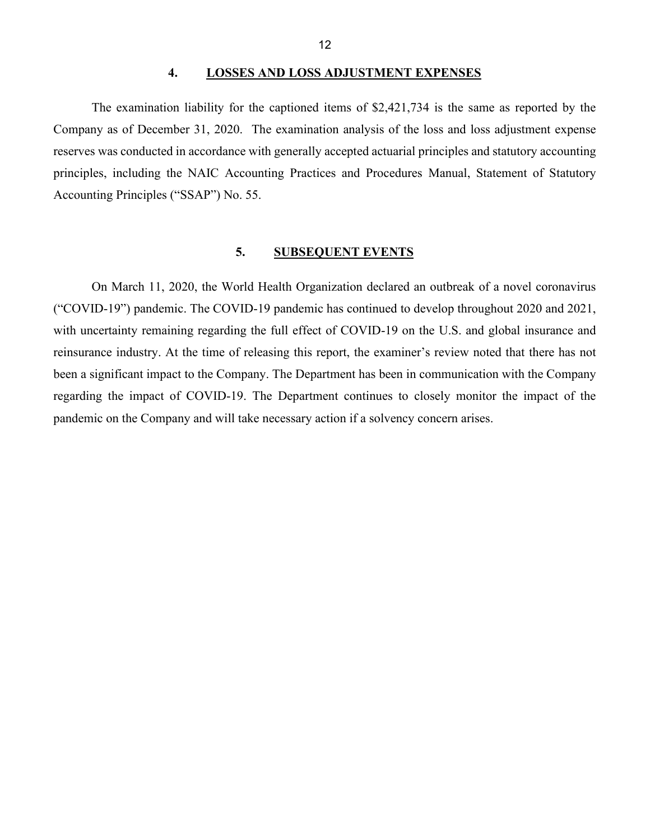#### **4. LOSSES AND LOSS ADJUSTMENT EXPENSES**

 Company as of December 31, 2020. The examination analysis of the loss and loss adjustment expense The examination liability for the captioned items of \$2,421,734 is the same as reported by the reserves was conducted in accordance with generally accepted actuarial principles and statutory accounting principles, including the NAIC Accounting Practices and Procedures Manual, Statement of Statutory Accounting Principles ("SSAP") No. 55.

### <span id="page-13-1"></span><span id="page-13-0"></span>**5. SUBSEQUENT EVENTS**

 reinsurance industry. At the time of releasing this report, the examiner's review noted that there has not regarding the impact of COVID-19. The Department continues to closely monitor the impact of the pandemic on the Company and will take necessary action if a solvency concern arises. On March 11, 2020, the World Health Organization declared an outbreak of a novel coronavirus ("COVID-19") pandemic. The COVID-19 pandemic has continued to develop throughout 2020 and 2021, with uncertainty remaining regarding the full effect of COVID-19 on the U.S. and global insurance and been a significant impact to the Company. The Department has been in communication with the Company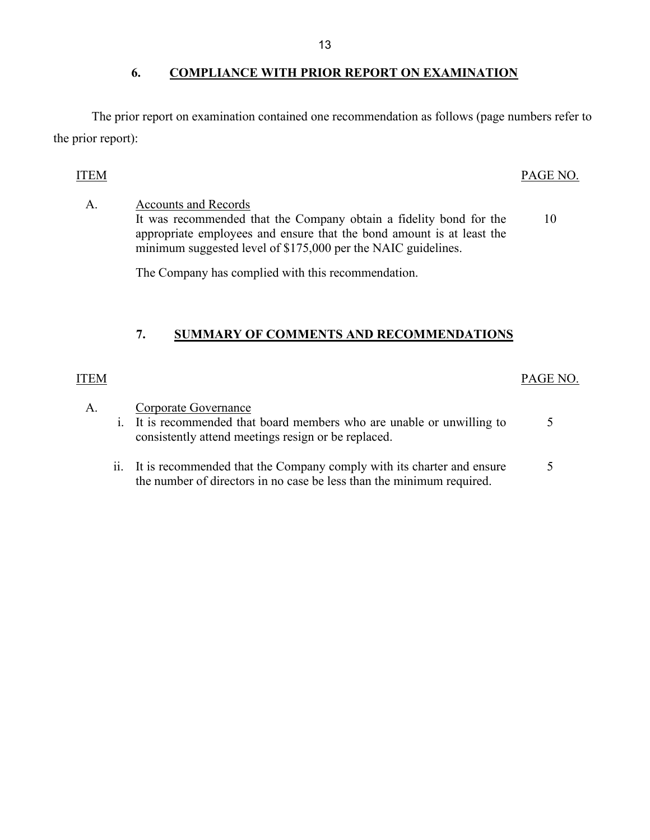## <span id="page-14-0"></span>**6. COMPLIANCE WITH PRIOR REPORT ON EXAMINATION**

The prior report on examination contained one recommendation as follows (page numbers refer to the prior report):

## ITEM PAGE NO.

A. Accounts and Records It was recommended that the Company obtain a fidelity bond for the 10 appropriate employees and ensure that the bond amount is at least the minimum suggested level of \$175,000 per the NAIC guidelines.

The Company has complied with this recommendation.

## <span id="page-14-1"></span>**7. SUMMARY OF COMMENTS AND RECOMMENDATIONS**

## ITEM PAGE NO.

A. Corporate Governance i. It is recommended that board members who are unable or unwilling to 5 consistently attend meetings resign or be replaced. ii. It is recommended that the Company comply with its charter and ensure 5 the number of directors in no case be less than the minimum required.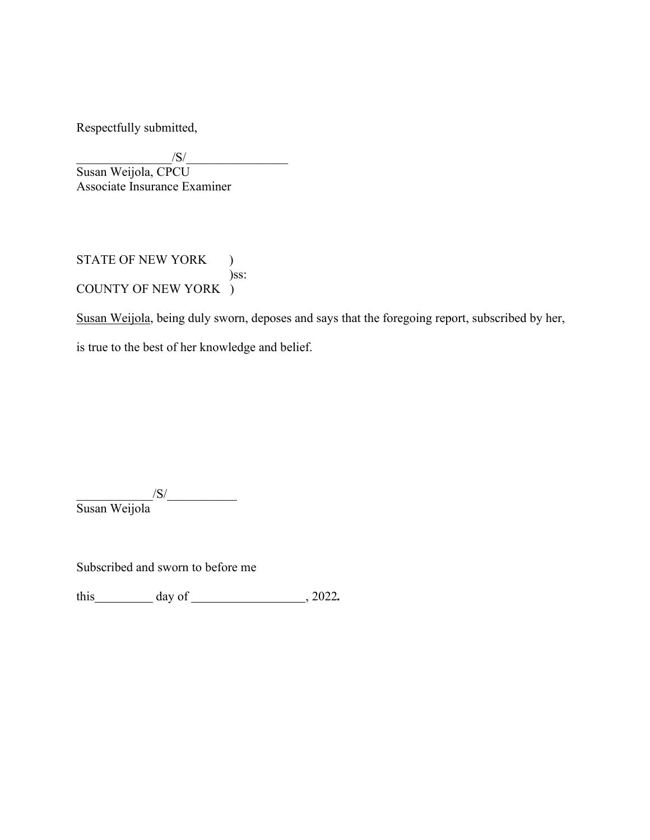Respectfully submitted,

 $\sqrt{S}/$ Susan Weijola, CPCU Associate Insurance Examiner

STATE OF NEW YORK ) )ss: COUNTY OF NEW YORK )

Susan Weijola, being duly sworn, deposes and says that the foregoing report, subscribed by her,

is true to the best of her knowledge and belief.

 $\sqrt{S}/$ Susan Weijola

Subscribed and sworn to before me

this day of , 2022*.*